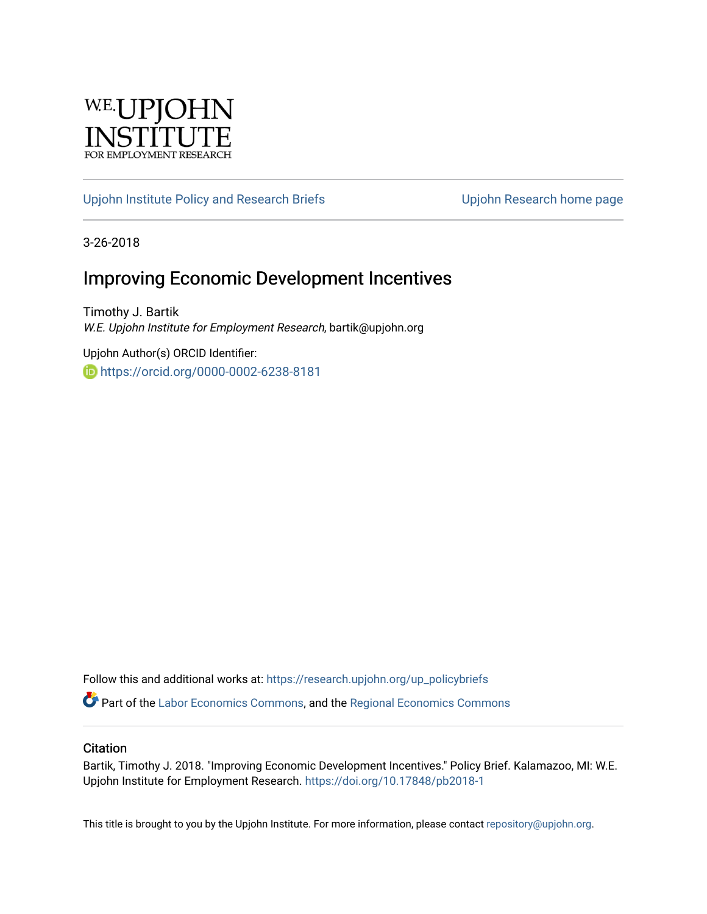

#### [Upjohn Institute Policy and Research Briefs](https://research.upjohn.org/up_policybriefs) Upjohn Research home page

3-26-2018

### Improving Economic Development Incentives

Timothy J. Bartik W.E. Upjohn Institute for Employment Research, bartik@upjohn.org

Upjohn Author(s) ORCID Identifier: <https://orcid.org/0000-0002-6238-8181>

Follow this and additional works at: [https://research.upjohn.org/up\\_policybriefs](https://research.upjohn.org/up_policybriefs?utm_source=research.upjohn.org%2Fup_policybriefs%2F1&utm_medium=PDF&utm_campaign=PDFCoverPages)

Part of the [Labor Economics Commons](http://network.bepress.com/hgg/discipline/349?utm_source=research.upjohn.org%2Fup_policybriefs%2F1&utm_medium=PDF&utm_campaign=PDFCoverPages), and the [Regional Economics Commons](http://network.bepress.com/hgg/discipline/1307?utm_source=research.upjohn.org%2Fup_policybriefs%2F1&utm_medium=PDF&utm_campaign=PDFCoverPages)

#### **Citation**

Bartik, Timothy J. 2018. "Improving Economic Development Incentives." Policy Brief. Kalamazoo, MI: W.E. Upjohn Institute for Employment Research.<https://doi.org/10.17848/pb2018-1>

This title is brought to you by the Upjohn Institute. For more information, please contact [repository@upjohn.org](mailto:repository@upjohn.org).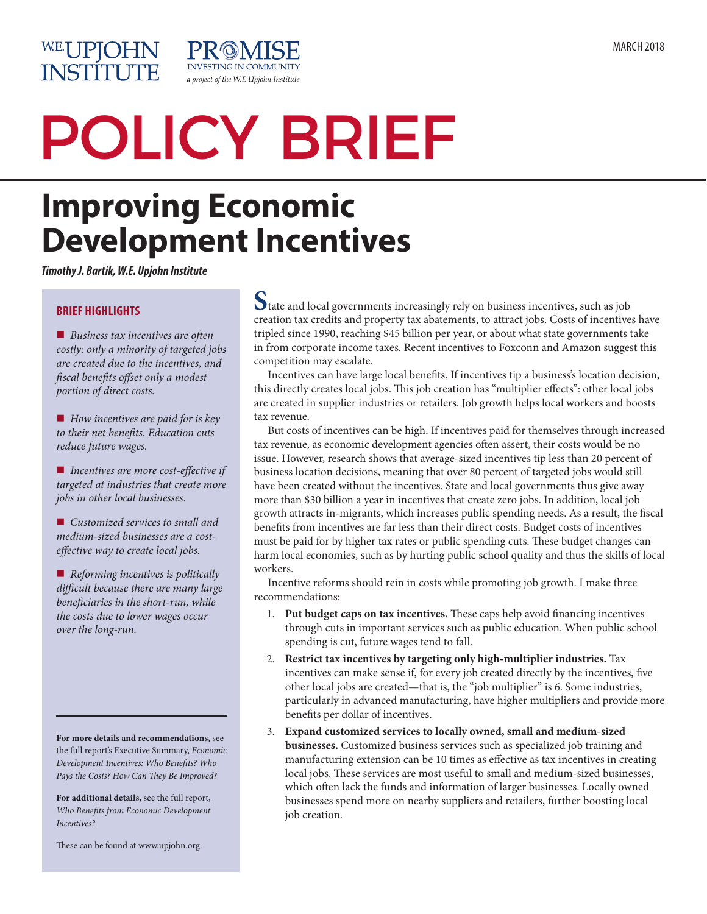

# POLICY BRIEF

**INVESTING IN COMMUNITY** a project of the W.E Upjohn Institute

## **Improving Economic Development Incentives**

PROI

*Timothy J. Bartik, W.E. Upjohn Institute*

#### **BRIEF HIGHLIGHTS**

■ *Business tax incentives are often costly: only a minority of targeted jobs are created due to the incentives, and fiscal benefits offset only a modest portion of direct costs.*

■ How incentives are paid for is key *to their net benefits. Education cuts reduce future wages.*

■ *Incentives are more cost-effective if targeted at industries that create more jobs in other local businesses.*

■ *Customized services to small and medium-sized businesses are a costeffective way to create local jobs.*

■ *Reforming incentives is politically difficult because there are many large beneficiaries in the short-run, while the costs due to lower wages occur over the long-run.*

**For more details and recommendations,** see the full report's Executive Summary, *Economic Development Incentives: Who Benefits? Who Pays the Costs? How Can They Be Improved?*

**For additional details,** see the full report, *Who Benefits from Economic Development Incentives?* 

These can be found at www.upjohn.org.

**S**tate and local governments increasingly rely on business incentives, such as job creation tax credits and property tax abatements, to attract jobs. Costs of incentives have tripled since 1990, reaching \$45 billion per year, or about what state governments take in from corporate income taxes. Recent incentives to Foxconn and Amazon suggest this competition may escalate.

Incentives can have large local benefits. If incentives tip a business's location decision, this directly creates local jobs. This job creation has "multiplier effects": other local jobs are created in supplier industries or retailers. Job growth helps local workers and boosts tax revenue.

But costs of incentives can be high. If incentives paid for themselves through increased tax revenue, as economic development agencies often assert, their costs would be no issue. However, research shows that average-sized incentives tip less than 20 percent of business location decisions, meaning that over 80 percent of targeted jobs would still have been created without the incentives. State and local governments thus give away more than \$30 billion a year in incentives that create zero jobs. In addition, local job growth attracts in-migrants, which increases public spending needs. As a result, the fiscal benefits from incentives are far less than their direct costs. Budget costs of incentives must be paid for by higher tax rates or public spending cuts. These budget changes can harm local economies, such as by hurting public school quality and thus the skills of local workers.

Incentive reforms should rein in costs while promoting job growth. I make three recommendations:

- 1. **Put budget caps on tax incentives.** These caps help avoid financing incentives through cuts in important services such as public education. When public school spending is cut, future wages tend to fall.
- 2. **Restrict tax incentives by targeting only high-multiplier industries.** Tax incentives can make sense if, for every job created directly by the incentives, five other local jobs are created—that is, the "job multiplier" is 6. Some industries, particularly in advanced manufacturing, have higher multipliers and provide more benefits per dollar of incentives.
- 3. **Expand customized services to locally owned, small and medium-sized businesses.** Customized business services such as specialized job training and manufacturing extension can be 10 times as effective as tax incentives in creating local jobs. These services are most useful to small and medium-sized businesses, which often lack the funds and information of larger businesses. Locally owned businesses spend more on nearby suppliers and retailers, further boosting local job creation.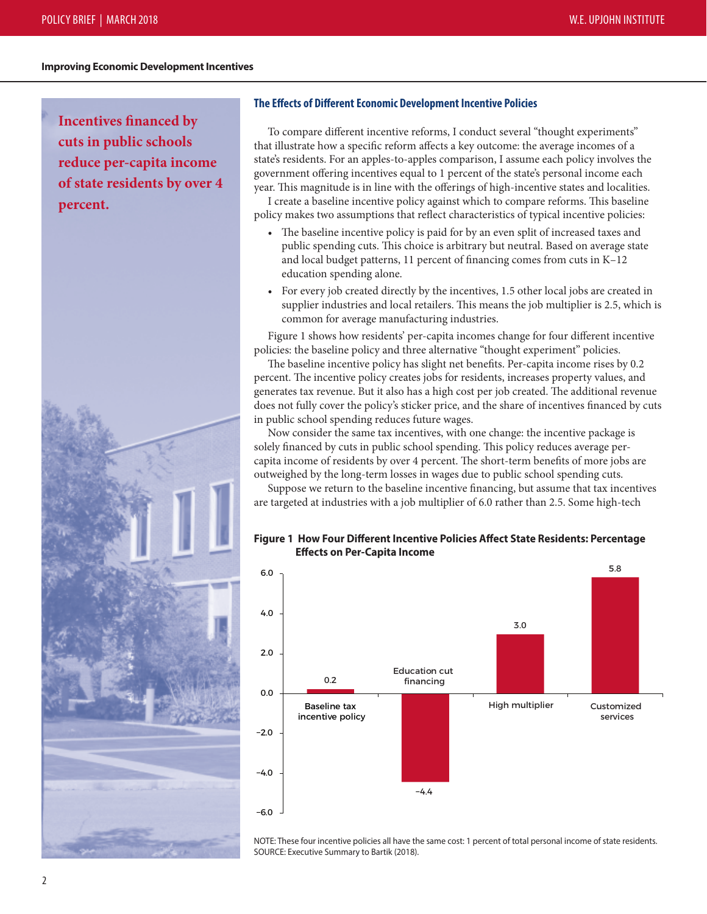#### **Improving Economic Development Incentives**

**Incentives financed by cuts in public schools reduce per-capita income of state residents by over 4 percent.** 



#### **The Effects of Different Economic Development Incentive Policies**

To compare different incentive reforms, I conduct several "thought experiments" that illustrate how a specific reform affects a key outcome: the average incomes of a state's residents. For an apples-to-apples comparison, I assume each policy involves the government offering incentives equal to 1 percent of the state's personal income each year. This magnitude is in line with the offerings of high-incentive states and localities.

I create a baseline incentive policy against which to compare reforms. This baseline policy makes two assumptions that reflect characteristics of typical incentive policies:

- The baseline incentive policy is paid for by an even split of increased taxes and public spending cuts. This choice is arbitrary but neutral. Based on average state and local budget patterns, 11 percent of financing comes from cuts in K–12 education spending alone.
- For every job created directly by the incentives, 1.5 other local jobs are created in supplier industries and local retailers. This means the job multiplier is 2.5, which is common for average manufacturing industries.

Figure 1 shows how residents' per-capita incomes change for four different incentive policies: the baseline policy and three alternative "thought experiment" policies.

The baseline incentive policy has slight net benefits. Per-capita income rises by 0.2 percent. The incentive policy creates jobs for residents, increases property values, and generates tax revenue. But it also has a high cost per job created. The additional revenue does not fully cover the policy's sticker price, and the share of incentives financed by cuts in public school spending reduces future wages.

Now consider the same tax incentives, with one change: the incentive package is solely financed by cuts in public school spending. This policy reduces average percapita income of residents by over 4 percent. The short-term benefits of more jobs are outweighed by the long-term losses in wages due to public school spending cuts.

Suppose we return to the baseline incentive financing, but assume that tax incentives are targeted at industries with a job multiplier of 6.0 rather than 2.5. Some high-tech

#### **Figure 1 How Four Different Incentive Policies Affect State Residents: Percentage Effects on Per-Capita Income**



NOTE: These four incentive policies all have the same cost: 1 percent of total personal income of state residents. SOURCE: Executive Summary to Bartik (2018).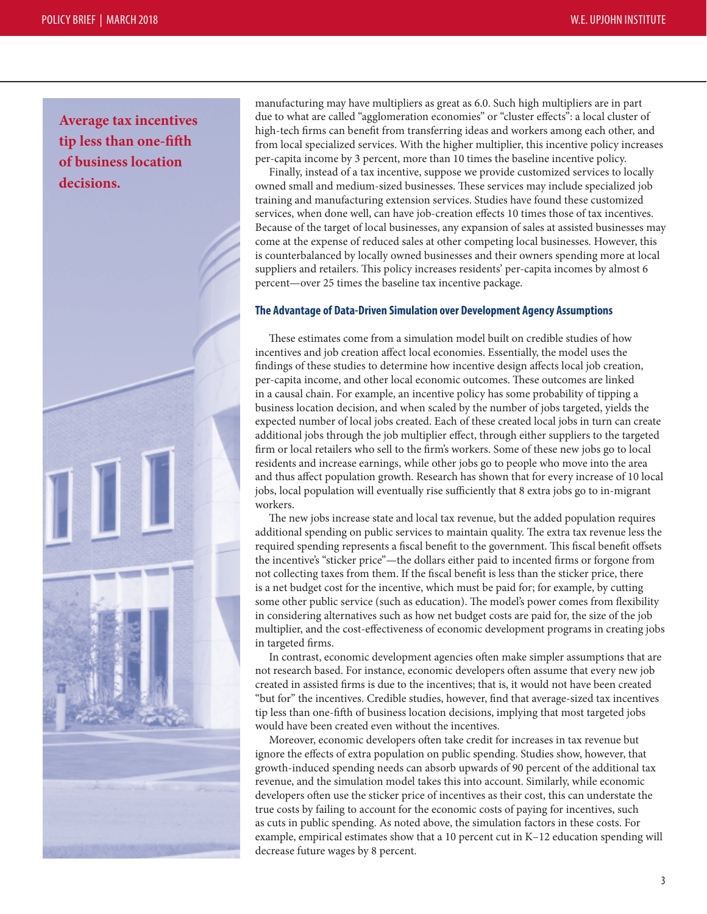**Average tax incentives tip less than one-fifth of business location decisions.**



manufacturing may have multipliers as great as 6.0. Such high multipliers are in part due to what are called "agglomeration economies" or "cluster effects": a local cluster of high-tech firms can benefit from transferring ideas and workers among each other, and from local specialized services. With the higher multiplier, this incentive policy increases per-capita income by 3 percent, more than 10 times the baseline incentive policy.

Finally, instead of a tax incentive, suppose we provide customized services to locally owned small and medium-sized businesses. These services may include specialized job training and manufacturing extension services. Studies have found these customized services, when done well, can have job-creation effects 10 times those of tax incentives. Because of the target of local businesses, any expansion of sales at assisted businesses may come at the expense of reduced sales at other competing local businesses. However, this is counterbalanced by locally owned businesses and their owners spending more at local suppliers and retailers. This policy increases residents' per-capita incomes by almost 6 percent—over 25 times the baseline tax incentive package.

#### **The Advantage of Data-Driven Simulation over Development Agency Assumptions**

These estimates come from a simulation model built on credible studies of how incentives and job creation affect local economies. Essentially, the model uses the findings of these studies to determine how incentive design affects local job creation, per-capita income, and other local economic outcomes. These outcomes are linked in a causal chain. For example, an incentive policy has some probability of tipping a business location decision, and when scaled by the number of jobs targeted, yields the expected number of local jobs created. Each of these created local jobs in turn can create additional jobs through the job multiplier effect, through either suppliers to the targeted firm or local retailers who sell to the firm's workers. Some of these new jobs go to local residents and increase earnings, while other jobs go to people who move into the area and thus affect population growth. Research has shown that for every increase of 10 local jobs, local population will eventually rise sufficiently that 8 extra jobs go to in-migrant workers.

The new jobs increase state and local tax revenue, but the added population requires additional spending on public services to maintain quality. The extra tax revenue less the required spending represents a fiscal benefit to the government. This fiscal benefit offsets the incentive's "sticker price"—the dollars either paid to incented firms or forgone from not collecting taxes from them. If the fiscal benefit is less than the sticker price, there is a net budget cost for the incentive, which must be paid for; for example, by cutting some other public service (such as education). The model's power comes from flexibility in considering alternatives such as how net budget costs are paid for, the size of the job multiplier, and the cost-effectiveness of economic development programs in creating jobs in targeted firms.

In contrast, economic development agencies often make simpler assumptions that are not research based. For instance, economic developers often assume that every new job created in assisted firms is due to the incentives; that is, it would not have been created "but for" the incentives. Credible studies, however, find that average-sized tax incentives tip less than one-fifth of business location decisions, implying that most targeted jobs would have been created even without the incentives.

Moreover, economic developers often take credit for increases in tax revenue but ignore the effects of extra population on public spending. Studies show, however, that growth-induced spending needs can absorb upwards of 90 percent of the additional tax revenue, and the simulation model takes this into account. Similarly, while economic developers often use the sticker price of incentives as their cost, this can understate the true costs by failing to account for the economic costs of paying for incentives, such as cuts in public spending. As noted above, the simulation factors in these costs. For example, empirical estimates show that a 10 percent cut in K–12 education spending will decrease future wages by 8 percent.